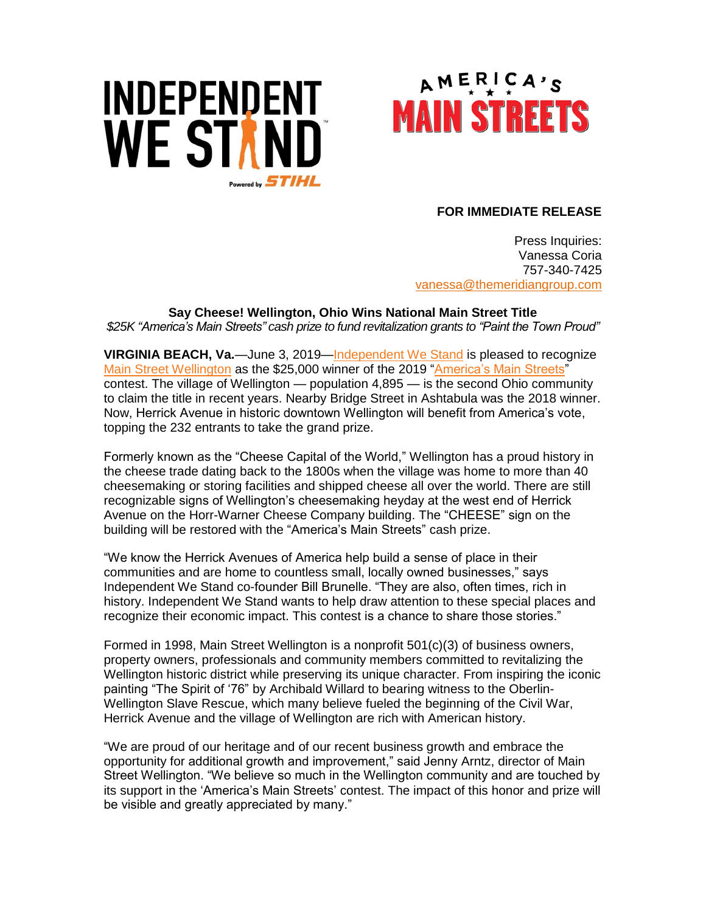



## **FOR IMMEDIATE RELEASE**

Press Inquiries: Vanessa Coria 757-340-7425 vanessa[@themeridiangroup.](mailto:vanessa@themeridiangroup.com)com

**Say Cheese! Wellington, Ohio Wins National Main Street Title** *\$25K "America's Main Streets" cash prize to fund revitalization grants to "Paint the Town Proud"*

**VIRGINIA BEACH, Va.**—June 3, 2019[—Independent We Stand](http://www.independentwestand.org/) is pleased to recognize [Main Street Wellington](http://www.mainstreetwellington.org/) as the \$25,000 winner of the 2019 ["America's Main Streets"](http://www.mainstreetcontest.com/) contest. The village of Wellington — population 4,895 — is the second Ohio community to claim the title in recent years. Nearby Bridge Street in Ashtabula was the 2018 winner. Now, Herrick Avenue in historic downtown Wellington will benefit from America's vote, topping the 232 entrants to take the grand prize.

Formerly known as the "Cheese Capital of the World," Wellington has a proud history in the cheese trade dating back to the 1800s when the village was home to more than 40 cheesemaking or storing facilities and shipped cheese all over the world. There are still recognizable signs of Wellington's cheesemaking heyday at the west end of Herrick Avenue on the Horr-Warner Cheese Company building. The "CHEESE" sign on the building will be restored with the "America's Main Streets" cash prize.

"We know the Herrick Avenues of America help build a sense of place in their communities and are home to countless small, locally owned businesses," says Independent We Stand co-founder Bill Brunelle. "They are also, often times, rich in history. Independent We Stand wants to help draw attention to these special places and recognize their economic impact. This contest is a chance to share those stories."

Formed in 1998, Main Street Wellington is a nonprofit 501(c)(3) of business owners, property owners, professionals and community members committed to revitalizing the Wellington historic district while preserving its unique character. From inspiring the iconic painting "The Spirit of '76" by Archibald Willard to bearing witness to the Oberlin-Wellington Slave Rescue, which many believe fueled the beginning of the Civil War, Herrick Avenue and the village of Wellington are rich with American history.

"We are proud of our heritage and of our recent business growth and embrace the opportunity for additional growth and improvement," said Jenny Arntz, director of Main Street Wellington. "We believe so much in the Wellington community and are touched by its support in the 'America's Main Streets' contest. The impact of this honor and prize will be visible and greatly appreciated by many."